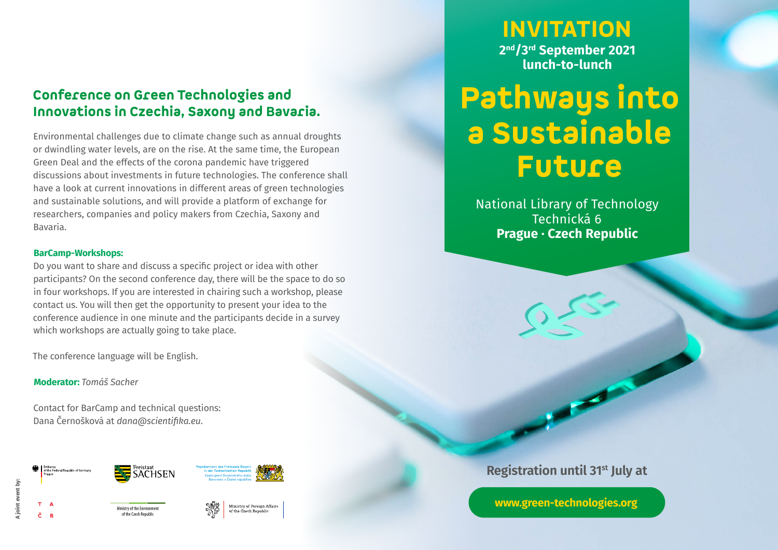# Conference on Green Technologies and Innovations in Czechia, Saxony and Bavaria.

Environmental challenges due to climate change such as annual droughts or dwindling water levels, are on the rise. At the same time, the European Green Deal and the effects of the corona pandemic have triggered discussions about investments in future technologies. The conference shall have a look at current innovations in different areas of green technologies and sustainable solutions, and will provide a platform of exchange for researchers, companies and policy makers from Czechia, Saxony and Bavaria.

### **BarCamp-Workshops:**

Do you want to share and discuss a specific project or idea with other participants? On the second conference day, there will be the space to do so in four workshops. If you are interested in chairing such a workshop, please contact us. You will then get the opportunity to present your idea to the conference audience in one minute and the participants decide in a survey which workshops are actually going to take place.

The conference language will be English.

## **Moderator:** *Tomáš Sacher*

Contact for BarCamp and technical questions: Dana Černošková at *dana@scientifika.eu*.

Ministry of the Environmen











INVITATION **2nd/3rd September 2021 lunch-to-lunch**

# Pathways into a Sustainable Future

National Library of Technology Technická 6 **Prague · Czech Republic**

# **Registration until 31st July at**

**[www.green-technologies.org](http://www.green-technologies.org)**